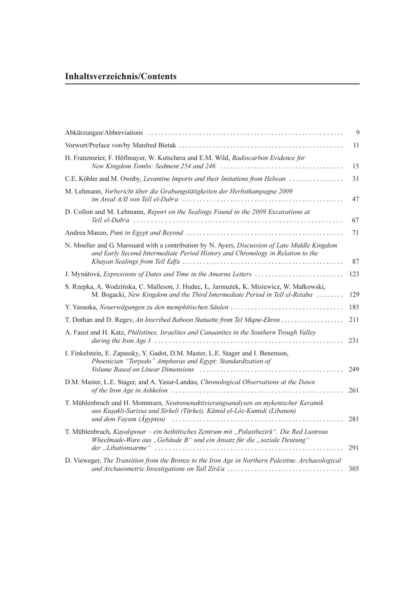## Inhaltsverzeichnis/Contents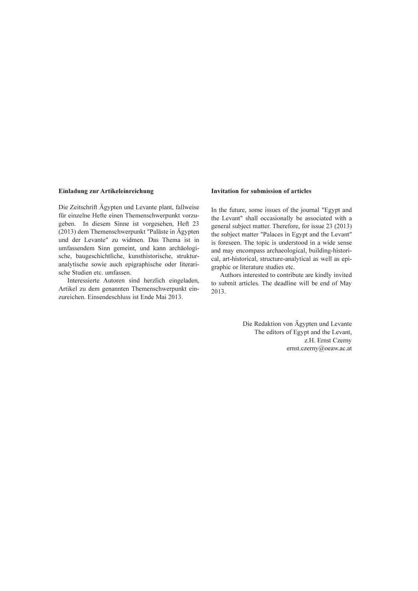#### Einladung zur Artikeleinreichung

Die Zeitschrift Ägypten und Levante plant, fallweise für einzelne Hefte einen Themenschwerpunkt vorzugeben. In diesem Sinne ist vorgesehen, Heft 23 (2013) dem Themenschwerpunkt "Paläste in Ägypten und der Levante" zu widmen. Das Thema ist in umfassendem Sinn gemeint, und kann archäologische, baugeschichtliche, kunsthistorische, strukturanalytische sowie auch epigraphische oder literarische Studien etc. umfassen.

Interessierte Autoren sind herzlich eingeladen, Artikel zu dem genannten Themenschwerpunkt einzureichen. Einsendeschluss ist Ende Mai 2013.

#### Invitation for submission of articles

In the future, some issues of the journal "Egypt and the Levant" shall occasionally be associated with a general subject matter. Therefore, for issue 23 (2013) the subject matter "Palaces in Egypt and the Levant" is foreseen. The topic is understood in a wide sense and may encompass archaeological, building-historical, art-historical, structure-analytical as well as epigraphic or literature studies etc.

Authors interested to contribute are kindly invited to submit articles. The deadline will be end of May 2013.

> Die Redaktion von Ägypten und Levante The editors of Egypt and the Levant, z.H. Ernst Czerny ernst.czerny@oeaw.ac.at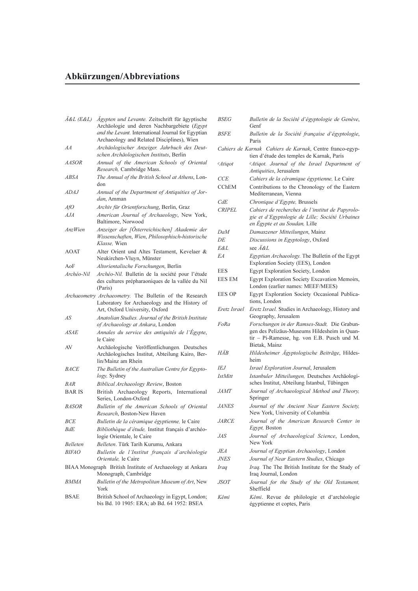# Abkürzungen/Abbreviations

| A&L (E&L)     | Ägypten und Levante. Zeitschrift für ägyptische<br>Archäologie und deren Nachbargebiete (Egypt<br>and the Levant. International Journal for Egyptian<br>Archaeology and Related Disciplines), Wien |
|---------------|----------------------------------------------------------------------------------------------------------------------------------------------------------------------------------------------------|
| AA            | Archäologischer Anzeiger. Jahrbuch des Deut-<br>schen Archäologischen Instituts, Berlin                                                                                                            |
| <i>AASOR</i>  | Annual of the American Schools of Oriental<br><i>Research</i> , Cambridge Mass.                                                                                                                    |
| ABSA          | The Annual of the British School at Athens, Lon-<br>don                                                                                                                                            |
| <i>ADAJ</i>   | Annual of the Department of Antiquities of Jor-<br>dan, Amman                                                                                                                                      |
| AfO           | Archiv für Orientforschung, Berlin, Graz                                                                                                                                                           |
| AJA           | American Journal of Archaeology, New York,<br>Baltimore, Norwood                                                                                                                                   |
| AnzWien       | Anzeiger der [Österreichischen] Akademie der<br>Wissenschaften, Wien, Philosophisch-historische<br>Klasse, Wien                                                                                    |
| AOAT          | Alter Orient und Altes Testament, Kevelaer &<br>Neukirchen-Vluyn, Münster                                                                                                                          |
| AoF           | Altorientalische Forschungen, Berlin                                                                                                                                                               |
| Archéo-Nil    | Archéo-Nil. Bulletin de la société pour l'étude<br>des cultures prépharaoniques de la vallée du Nil<br>(Paris)                                                                                     |
|               | Archaeometry Archaeometry. The Bulletin of the Research<br>Laboratory for Archaeology and the History of<br>Art, Oxford University, Oxford                                                         |
| AS            | Anatolian Studies. Journal of the British Institute<br>of Archaeology at Ankara, London                                                                                                            |
| <i>ASAE</i>   | Annales du service des antiquités de l'Égypte,<br>le Caire                                                                                                                                         |
| AV            | Archäologische Veröffentlichungen. Deutsches<br>Archäologisches Institut, Abteilung Kairo, Ber-<br>lin/Mainz am Rhein                                                                              |
| <b>BACE</b>   | The Bulletin of the Australian Centre for Egypto-<br><i>logy</i> , Sydney                                                                                                                          |
| BAR           | Biblical Archaeology Review, Boston                                                                                                                                                                |
| <b>BAR IS</b> | British Archaeology Reports, International<br>Series, London-Oxford                                                                                                                                |
| <b>BASOR</b>  | Bulletin of the American Schools of Oriental<br>Research, Boston-New Haven                                                                                                                         |
| <b>BCE</b>    | Bulletin de la céramique égyptienne, le Caire                                                                                                                                                      |
| <i>BdE</i>    | Bibliothèque d'étude, Institut français d'archéo-<br>logie Orientale, le Caire                                                                                                                     |
| Belleten      | Belleten. Türk Tarih Kurumu, Ankara                                                                                                                                                                |
| <b>BIFAO</b>  | Bulletin de l'Institut français d'archéologie<br>Orientale, le Caire                                                                                                                               |
|               | BIAA Monograph British Institute of Archaeology at Ankara<br>Monograph, Cambridge                                                                                                                  |
| <i>BMMA</i>   | Bulletin of the Metropolitan Museum of Art, New<br>York                                                                                                                                            |
| <b>BSAE</b>   | British School of Archaeology in Egypt, London;<br>bis Bd. 10 1905: ERA; ab Bd. 64 1952: BSEA                                                                                                      |

|               | Paris                                                                                                                                                        |
|---------------|--------------------------------------------------------------------------------------------------------------------------------------------------------------|
|               | Cahiers de Karnak Cahiers de Karnak, Centre franco-egyp-<br>tien d'étude des temples de Karnak, Paris                                                        |
| $c$ Atiqot    | <sup>c</sup> Atigot. Journal of the Israel Department of<br>Antiquities, Jerusalem                                                                           |
| <b>CCE</b>    | Cahiers de la céramique égyptienne, Le Caire                                                                                                                 |
| <b>CChEM</b>  | Contributions to the Chronology of the Eastern<br>Mediterranean, Vienna                                                                                      |
| CdE           | Chronique d'Egypte, Brussels                                                                                                                                 |
| <b>CRIPEL</b> | Cahiers de recherches de l'institut de Papyrolo-<br>gie et d'Egyptologie de Lille; Société Urbaines<br>en Egypte et au Soudan, Lille                         |
| DaM           | Damaszener Mitteilungen, Mainz                                                                                                                               |
| DE            | Discussions in Egyptology, Oxford                                                                                                                            |
| E&L           | see $\ddot{A}\&L$                                                                                                                                            |
| EΑ            | Egyptian Archaeology. The Bulletin of the Egypt<br>Exploration Society (EES), London                                                                         |
| EES           | Egypt Exploration Society, London                                                                                                                            |
| <b>EES EM</b> | Egypt Exploration Society Excavation Memoirs,<br>London (earlier names: MEEF/MEES)                                                                           |
| <b>EES OP</b> | Egypt Exploration Society Occasional Publica-<br>tions, London                                                                                               |
| Eretz Israel  | Eretz Israel. Studies in Archaeology, History and<br>Geography, Jerusalem                                                                                    |
| FoRa          | Forschungen in der Ramses-Stadt, Die Grabun-<br>gen des Pelizäus-Museums Hildesheim in Quan-<br>tir - Pi-Ramesse, hg. von E.B. Pusch und M.<br>Bietak, Mainz |
| HÄB           | Hildesheimer Ägyptologische Beiträge, Hildes-<br>heim                                                                                                        |
| IEJ           | Israel Exploration Journal, Jerusalem                                                                                                                        |
| IstMitt       | Istanbuler Mitteilungen, Deutsches Archäologi-<br>sches Institut, Abteilung Istanbul, Tübingen                                                               |
| <i>JAMT</i>   | Journal of Archaeological Method and Theory,<br>Springer                                                                                                     |
| <i>JANES</i>  | Journal of the Ancient Near Eastern Society,<br>New York, University of Columbia                                                                             |
| <i>JARCE</i>  | Journal of the American Research Center in<br>Egypt, Boston                                                                                                  |
| JAS           | Journal of Archaeological Science, London,<br>New York                                                                                                       |
| JEA           | Journal of Egyptian Archaeology, London                                                                                                                      |
| <i>JNES</i>   | Journal of Near Eastern Studies, Chicago                                                                                                                     |
| Iraq          | Iraq. The The British Institute for the Study of<br>Iraq Journal, London                                                                                     |

BSEG Bulletin de la Société d'égyptologie de Genève,

BSFE Bulletin de la Société française d'égyptologie,

Genf

- JSOT Journal for the Study of the Old Testament, Sheffield
- Kêmi Kêmi. Revue de philologie et d'archéologie égyptienne et coptes, Paris